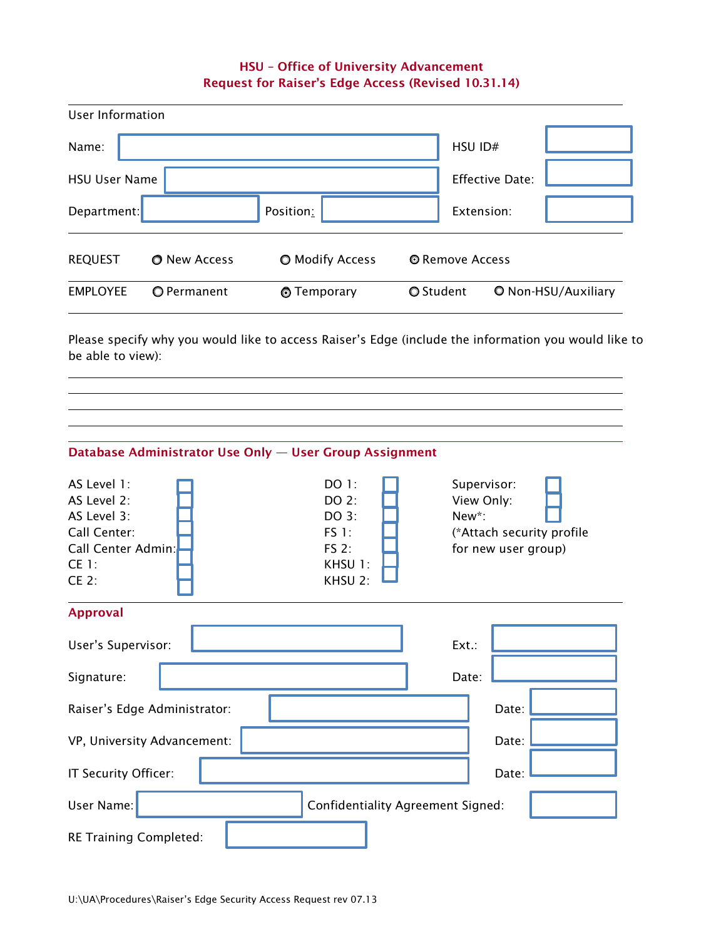## HSU – Office of University Advancement Request for Raiser's Edge Access (Revised 10.31.14)

| User Information     |              |                        |                  |                        |                            |
|----------------------|--------------|------------------------|------------------|------------------------|----------------------------|
| Name:                |              |                        |                  | HSU ID#                |                            |
| <b>HSU User Name</b> |              |                        |                  | <b>Effective Date:</b> |                            |
| Department:          |              | Position:              |                  | Extension:             |                            |
| <b>REQUEST</b>       | O New Access | <b>O</b> Modify Access | © Remove Access  |                        |                            |
| <b>EMPLOYEE</b>      | O Permanent  | <b>T</b> emporary      | <b>O</b> Student |                        | <b>O</b> Non-HSU/Auxiliary |

Please specify why you would like to access Raiser's Edge (include the information you would like to be able to view):

|                                                                                                            | Database Administrator Use Only - User Group Assignment |                                                                        |                                                                                        |  |  |  |
|------------------------------------------------------------------------------------------------------------|---------------------------------------------------------|------------------------------------------------------------------------|----------------------------------------------------------------------------------------|--|--|--|
| AS Level 1:<br>AS Level 2:<br>AS Level 3:<br>Call Center:<br>Call Center Admin:<br><b>CE 1:</b><br>$CE$ 2: |                                                         | DO 1:<br>DO 2:<br>DO 3:<br><b>FS 1:</b><br>FS 2:<br>KHSU 1:<br>KHSU 2: | Supervisor:<br>View Only:<br>New*:<br>(*Attach security profile<br>for new user group) |  |  |  |
| <b>Approval</b>                                                                                            |                                                         |                                                                        |                                                                                        |  |  |  |
| User's Supervisor:                                                                                         |                                                         |                                                                        | Ext.:                                                                                  |  |  |  |
| Signature:                                                                                                 |                                                         |                                                                        | Date:                                                                                  |  |  |  |
| Raiser's Edge Administrator:                                                                               |                                                         |                                                                        | Date:                                                                                  |  |  |  |
| VP, University Advancement:                                                                                |                                                         |                                                                        | Date:                                                                                  |  |  |  |
| IT Security Officer:                                                                                       |                                                         |                                                                        | Date:                                                                                  |  |  |  |
| User Name:<br><b>Confidentiality Agreement Signed:</b>                                                     |                                                         |                                                                        |                                                                                        |  |  |  |
| RE Training Completed:                                                                                     |                                                         |                                                                        |                                                                                        |  |  |  |